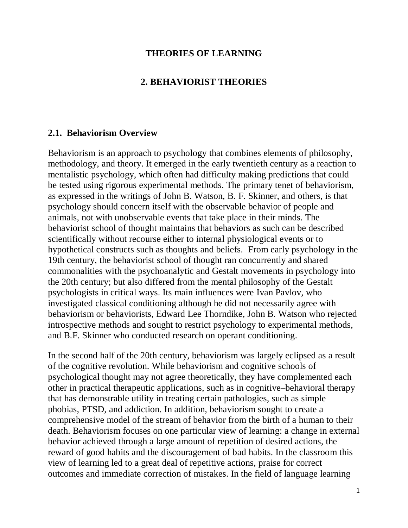### **THEORIES OF LEARNING**

#### **2. BEHAVIORIST THEORIES**

#### **2.1. Behaviorism Overview**

Behaviorism is an approach to [psychology](http://en.wikipedia.org/wiki/Psychology) that combines elements of philosophy, methodology, and theory. It emerged in the early twentieth century as a reaction to mentalistic psychology, which often had difficulty making predictions that could be tested using rigorous experimental methods. The primary tenet of behaviorism, as expressed in the writings of [John B. Watson,](http://en.wikipedia.org/wiki/John_B._Watson) [B. F. Skinner,](http://en.wikipedia.org/wiki/B._F._Skinner) and others, is that psychology should concern itself with the observable behavior of people and animals, not with unobservable events that take place in their minds. The behaviorist school of thought maintains that behaviors as such can be described scientifically without recourse either to internal [physiological](http://en.wikipedia.org/wiki/Physiology) events or to hypothetical constructs such as thoughts and beliefs. From early [psychology](http://en.wikipedia.org/wiki/Psychology) [in the](http://en.wikipedia.org/wiki/Timeline_of_psychology#Nineteenth_century)  [19th century,](http://en.wikipedia.org/wiki/Timeline_of_psychology#Nineteenth_century) the behaviorist school of thought ran concurrently and shared commonalities with the [psychoanalytic](http://en.wikipedia.org/wiki/Psychoanalytic) and [Gestalt](http://en.wikipedia.org/wiki/Gestalt_psychology) movements in psychology into [the 20th century;](http://en.wikipedia.org/wiki/Timeline_of_psychology#Twentieth_century) but also differed from the [mental philosophy](http://en.wikipedia.org/wiki/Mental_philosophy) of the Gestalt psychologists in critical ways. Its main influences were [Ivan Pavlov,](http://en.wikipedia.org/wiki/Ivan_Pavlov) who investigated [classical conditioning](http://en.wikipedia.org/wiki/Classical_conditioning) although he did not necessarily agree with behaviorism or behaviorists, [Edward Lee Thorndike,](http://en.wikipedia.org/wiki/Edward_Lee_Thorndike) [John B. Watson](http://en.wikipedia.org/wiki/John_B._Watson) who rejected [introspective methods](http://en.wikipedia.org/wiki/Introspection) and sought to restrict psychology to [experimental methods,](http://en.wikipedia.org/wiki/Experimental_psychology) and [B.F. Skinner](http://en.wikipedia.org/wiki/B.F._Skinner) who conducted research on [operant conditioning.](http://en.wikipedia.org/wiki/Operant_conditioning)

In the second half of the 20th century, behaviorism was largely eclipsed as a result of the [cognitive revolution.](http://en.wikipedia.org/wiki/Cognitive_revolution) While behaviorism and cognitive schools of psychological thought may not agree theoretically, they have complemented each other in practical therapeutic applications, such as in [cognitive–behavioral therapy](http://en.wikipedia.org/wiki/Cognitive%E2%80%93behavioral_therapy) that has demonstrable utility in treating certain pathologies, such as simple [phobias,](http://en.wikipedia.org/wiki/Phobia) [PTSD,](http://en.wikipedia.org/wiki/Posttraumatic_stress_disorder) and [addiction.](http://en.wikipedia.org/wiki/Addiction) In addition, behaviorism sought to create a comprehensive model of the stream of behavior from the birth of a human to their death. Behaviorism focuses on one particular view of learning: a change in external behavior achieved through a large amount of repetition of desired actions, the reward of good habits and the discouragement of bad habits. In the classroom this view of learning led to a great deal of repetitive actions, praise for correct outcomes and immediate correction of mistakes. In the field of language learning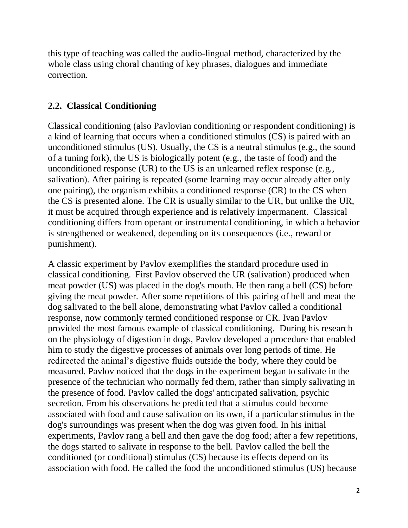this type of teaching was called the audio-lingual method, characterized by the whole class using choral chanting of key phrases, dialogues and immediate correction.

## **2.2. Classical Conditioning**

Classical conditioning (also Pavlovian conditioning or respondent conditioning) is a kind of learning that occurs when a conditioned stimulus (CS) is paired with an unconditioned stimulus (US). Usually, the CS is a neutral stimulus (e.g., the sound of a tuning fork), the US is biologically potent (e.g., the taste of food) and the unconditioned response (UR) to the US is an unlearned reflex response (e.g., salivation). After pairing is repeated (some learning may occur already after only one pairing), the organism exhibits a conditioned response (CR) to the CS when the CS is presented alone. The CR is usually similar to the UR, but unlike the UR, it must be acquired through experience and is relatively impermanent. Classical conditioning differs from operant [or instrumental](http://en.wikipedia.org/wiki/Operant_conditioning) conditioning, in which a behavior is strengthened or weakened, depending on its consequences (i.e., reward or punishment).

A classic experiment by [Pavlov](http://en.wikipedia.org/wiki/Ivan_Pavlov) exemplifies the standard procedure used in classical conditioning. First Pavlov observed the UR (salivation) produced when meat powder (US) was placed in the dog's mouth. He then rang a bell (CS) before giving the meat powder. After some repetitions of this pairing of bell and meat the dog salivated to the bell alone, demonstrating what Pavlov called a conditional response, now commonly termed conditioned response or CR. [Ivan Pavlov](http://en.wikipedia.org/wiki/Ivan_Pavlov) provided the most famous example of classical conditioning. During his research on the physiology of digestion in dogs, Pavlov developed a procedure that enabled him to study the digestive processes of animals over long periods of time. He redirected the animal's digestive fluids outside the body, where they could be measured. Pavlov noticed that the dogs in the experiment began to salivate in the presence of the technician who normally fed them, rather than simply salivating in the presence of food. Pavlov called the dogs' anticipated salivation, psychic secretion. From his observations he predicted that a stimulus could become associated with food and cause salivation on its own, if a particular stimulus in the dog's surroundings was present when the dog was given food. In his initial experiments, Pavlov rang a bell and then gave the dog food; after a few repetitions, the dogs started to salivate in response to the bell. Pavlov called the bell the conditioned (or conditional) stimulus (CS) because its effects depend on its association with food. He called the food the unconditioned stimulus (US) because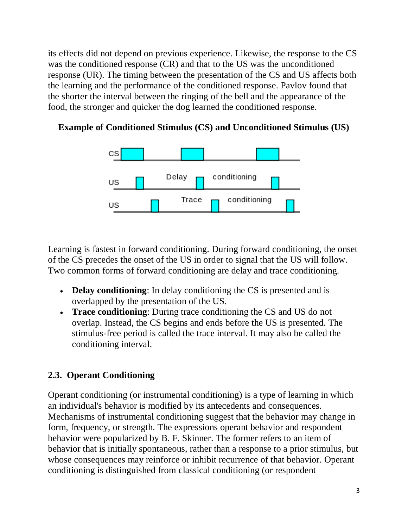its effects did not depend on previous experience. Likewise, the response to the CS was the conditioned response (CR) and that to the US was the unconditioned response (UR). The timing between the presentation of the CS and US affects both the learning and the performance of the conditioned response. Pavlov found that the shorter the interval between the ringing of the bell and the appearance of the food, the stronger and quicker the dog learned the conditioned response.



### **Example of Conditioned Stimulus (CS) and Unconditioned Stimulus (US)**

Learning is fastest in forward conditioning. During forward conditioning, the onset of the CS precedes the onset of the US in order to signal that the US will follow. Two common forms of forward conditioning are delay and trace conditioning.

- **Delay conditioning**: In delay conditioning the CS is presented and is overlapped by the presentation of the US.
- **Trace conditioning**: During trace conditioning the CS and US do not overlap. Instead, the CS begins and ends before the US is presented. The stimulus-free period is called the trace interval. It may also be called the conditioning interval.

## **2.3. Operant Conditioning**

Operant conditioning (or instrumental conditioning) is a type of learning in which an individual's behavior is modified by its antecedents and consequences. Mechanisms of instrumental conditioning suggest that the behavior may change in form, frequency, or strength. The expressions operant behavior and respondent behavior were popularized by [B. F. Skinner.](http://en.wikipedia.org/wiki/B._F._Skinner) The former refers to an item of behavior that is initially spontaneous, rather than a response to a prior stimulus, but whose consequences may reinforce or inhibit recurrence of that behavior. Operant conditioning is distinguished from [classical conditioning](http://en.wikipedia.org/wiki/Classical_conditioning) (or respondent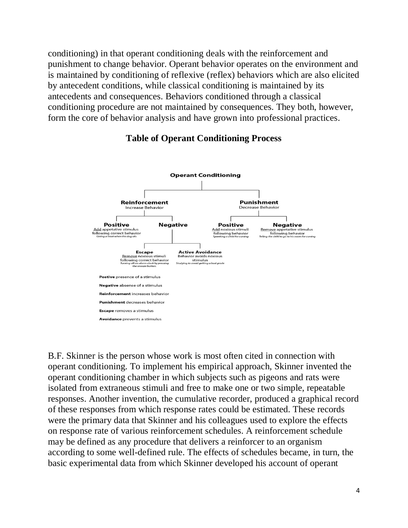conditioning) in that operant conditioning deals with the reinforcement and punishment to change behavior. Operant behavior operates on the environment and is maintained by conditioning of reflexive [\(reflex\)](http://en.wikipedia.org/wiki/Reflex) behaviors which are also elicited by antecedent conditions, while classical conditioning is maintained by its antecedents and consequences. Behaviors conditioned through a classical conditioning procedure are not maintained by consequences. They both, however, form the core of behavior analysis and have grown into [professional practices.](http://en.wikipedia.org/wiki/Professional_practice_of_behavior_analysis)



## **Table of Operant Conditioning Process**

[B.F. Skinner](http://en.wikipedia.org/wiki/B.F._Skinner) is the person whose work is most often cited in connection with operant conditioning. To implement his empirical approach, Skinner invented the [operant conditioning chamber](http://en.wikipedia.org/wiki/Operant_conditioning_chamber) in which subjects such as pigeons and rats were isolated from extraneous stimuli and free to make one or two simple, repeatable responses. Another invention, the cumulative recorder, produced a graphical record of these responses from which response rates could be estimated. These records were the primary data that Skinner and his colleagues used to explore the effects on response rate of various reinforcement schedules. A reinforcement schedule may be defined as any procedure that delivers a reinforcer to an organism according to some well-defined rule. The effects of schedules became, in turn, the basic experimental data from which Skinner developed his account of operant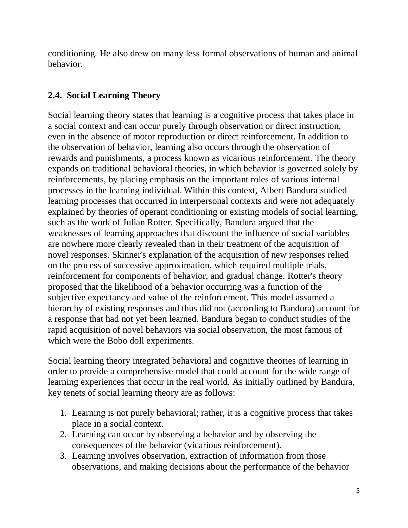conditioning. He also drew on many less formal observations of human and animal behavior.

# **2.4. Social Learning Theory**

Social learning theory states that learning is a cognitive process that takes place in a social context and can occur purely through observation or direct instruction, even in the absence of motor reproduction or direct reinforcement. In addition to the observation of behavior, learning also occurs through the observation of rewards and punishments, a process known as vicarious reinforcement. The theory expands on traditional [behavioral theories,](http://en.wikipedia.org/wiki/Behaviorism) in which behavior is governed solely by reinforcements, by placing emphasis on the important roles of various internal processes in the learning individual. Within this context, [Albert Bandura](http://en.wikipedia.org/wiki/Albert_Bandura) studied learning processes that occurred in interpersonal contexts and were not adequately explained by theories of operant conditioning or existing models of social learning, such as the work of [Julian Rotter.](http://en.wikipedia.org/wiki/Julian_Rotter) Specifically, Bandura argued that the weaknesses of learning approaches that discount the influence of social variables are nowhere more clearly revealed than in their treatment of the acquisition of novel responses. Skinner's explanation of the acquisition of new responses relied on the process of successive approximation, which required multiple trials, reinforcement for components of behavior, and gradual change. Rotter's theory proposed that the likelihood of a behavior occurring was a function of the subjective expectancy and value of the reinforcement. This model assumed a hierarchy of existing responses and thus did not (according to Bandura) account for a response that had not yet been learned. Bandura began to conduct studies of the rapid acquisition of novel behaviors via social observation, the most famous of which were the Bobo doll experiments.

Social learning theory integrated behavioral and cognitive theories of learning in order to provide a comprehensive model that could account for the wide range of learning experiences that occur in the real world. As initially outlined by Bandura, key tenets of social learning theory are as follows:

- 1. Learning is not purely behavioral; rather, it is a cognitive process that takes place in a social context.
- 2. Learning can occur by observing a behavior and by observing the consequences of the behavior (vicarious reinforcement).
- 3. Learning involves observation, extraction of information from those observations, and making decisions about the performance of the behavior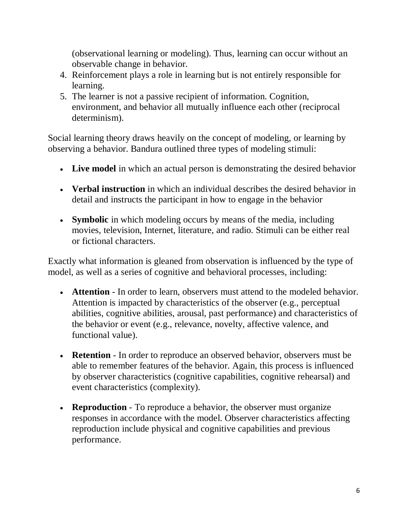(observational learning or modeling). Thus, learning can occur without an observable change in behavior.

- 4. Reinforcement plays a role in learning but is not entirely responsible for learning.
- 5. The learner is not a passive recipient of information. Cognition, environment, and behavior all mutually influence each other (reciprocal determinism).

Social learning theory draws heavily on the concept of modeling, or learning by observing a behavior. Bandura outlined three types of modeling stimuli:

- **Live model** in which an actual person is demonstrating the desired behavior
- **Verbal instruction** in which an individual describes the desired behavior in detail and instructs the participant in how to engage in the behavior
- **Symbolic** in which modeling occurs by means of the media, including movies, television, Internet, literature, and radio. Stimuli can be either real or fictional characters.

Exactly what information is gleaned from observation is influenced by the type of model, as well as a series of cognitive and behavioral processes, including:

- **Attention** In order to learn, observers must attend to the modeled behavior. Attention is impacted by characteristics of the observer (e.g., perceptual abilities, cognitive abilities, arousal, past performance) and characteristics of the behavior or event (e.g., relevance, novelty, affective valence, and functional value).
- **Retention** In order to reproduce an observed behavior, observers must be able to remember features of the behavior. Again, this process is influenced by observer characteristics (cognitive capabilities, cognitive rehearsal) and event characteristics (complexity).
- **Reproduction** To reproduce a behavior, the observer must organize responses in accordance with the model. Observer characteristics affecting reproduction include physical and cognitive capabilities and previous performance.